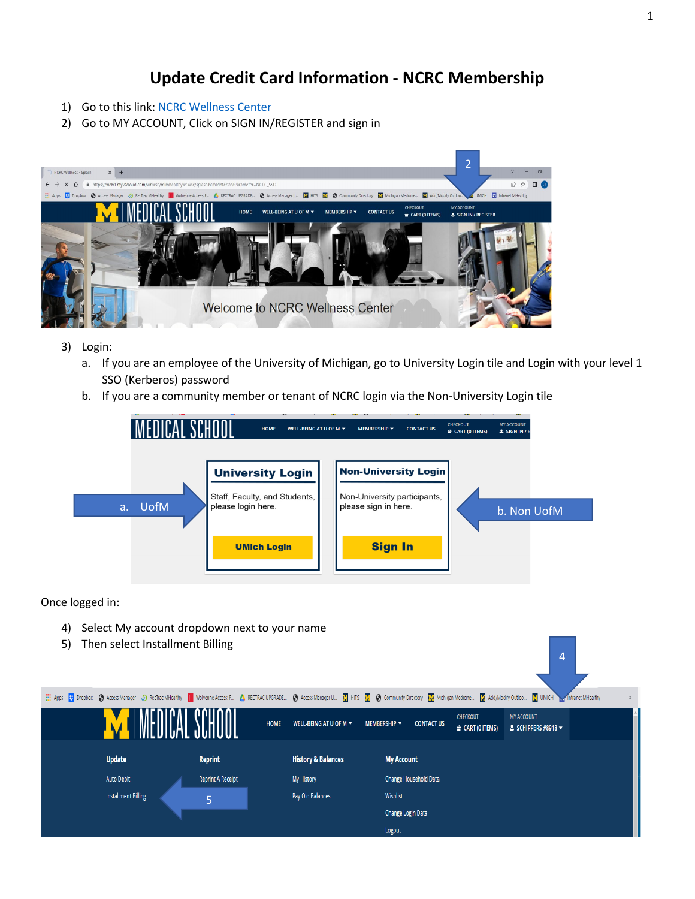## **Update Credit Card Information - NCRC Membership**

- 1) Go to this link: [NCRC Wellness Center](https://web1.myvscloud.com/wbwsc/mimhealthywt.wsc/splash.html?InterfaceParameter=NCRC_SSO)
- 2) Go to MY ACCOUNT, Click on SIGN IN/REGISTER and sign in



- 3) Login:
	- a. If you are an employee of the University of Michigan, go to University Login tile and Login with your level 1 SSO (Kerberos) password
	- b. If you are a community member or tenant of NCRC login via the Non-University Login tile



Once logged in:

- 4) Select My account dropdown next to your name
- 5) Then select Installment Billing



4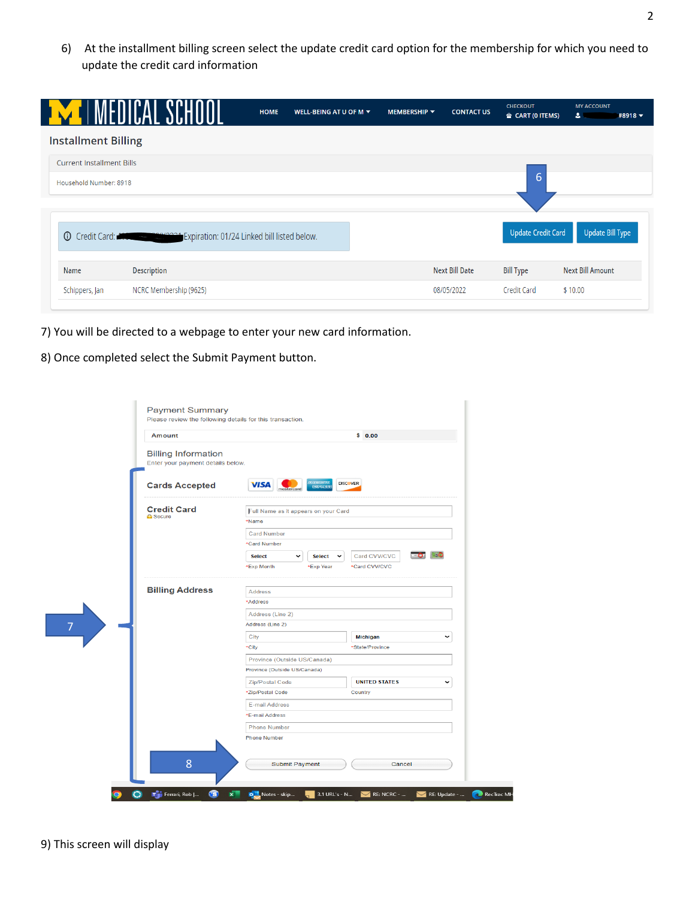6) At the installment billing screen select the update credit card option for the membership for which you need to update the credit card information

|                                  |                                                                                               | <b>HOME</b> | WELL-BEING AT U OF M $\blacktriangledown$ | <b>MEMBERSHIP ▼</b> | <b>CONTACT US</b>     | <b>CHECKOUT</b><br>$\triangleq$ CART (0 ITEMS) | <b>MY ACCOUNT</b><br>$\bullet$<br>$#8918$ $\star$ |
|----------------------------------|-----------------------------------------------------------------------------------------------|-------------|-------------------------------------------|---------------------|-----------------------|------------------------------------------------|---------------------------------------------------|
| <b>Installment Billing</b>       |                                                                                               |             |                                           |                     |                       |                                                |                                                   |
| <b>Current Installment Bills</b> |                                                                                               |             |                                           |                     |                       |                                                |                                                   |
| Household Number: 8918           |                                                                                               |             |                                           |                     |                       | 6                                              |                                                   |
|                                  |                                                                                               |             |                                           |                     |                       |                                                |                                                   |
|                                  | <b>O</b> Credit Card: <b>MACHORE ARE PROVIDED</b> Expiration: 01/24 Linked bill listed below. |             |                                           |                     |                       | <b>Update Credit Card</b>                      | <b>Update Bill Type</b>                           |
|                                  |                                                                                               |             |                                           |                     |                       |                                                |                                                   |
| Name                             | <b>Description</b>                                                                            |             |                                           |                     | <b>Next Bill Date</b> | <b>Bill Type</b>                               | <b>Next Bill Amount</b>                           |

- 7) You will be directed to a webpage to enter your new card information.
- 8) Once completed select the Submit Payment button.

| Amount                                                          |                                            |                                      | \$0.00               |  |  |  |
|-----------------------------------------------------------------|--------------------------------------------|--------------------------------------|----------------------|--|--|--|
| <b>Billing Information</b><br>Enter your payment details below. |                                            |                                      |                      |  |  |  |
| <b>Cards Accepted</b>                                           | VISA                                       | MERICO)<br>ESPERA                    | <b>DISCOVER</b>      |  |  |  |
| <b>Credit Card</b><br><b>A</b> Secure                           |                                            | Full Name as it appears on your Card |                      |  |  |  |
|                                                                 | *Name                                      |                                      |                      |  |  |  |
|                                                                 | <b>Card Number</b>                         |                                      |                      |  |  |  |
|                                                                 | *Card Number                               |                                      |                      |  |  |  |
|                                                                 | <b>Select</b>                              | <b>Select</b><br>$\check{ }$         | Card CVV/CVC         |  |  |  |
|                                                                 | *Exp Month                                 | *Exp Year                            | *Card CVV/CVC        |  |  |  |
| <b>Billing Address</b>                                          | <b>Address</b>                             |                                      |                      |  |  |  |
|                                                                 | *Address                                   |                                      |                      |  |  |  |
|                                                                 | Address (Line 2)                           |                                      |                      |  |  |  |
|                                                                 | Address (Line 2)                           |                                      |                      |  |  |  |
|                                                                 | City                                       |                                      | Michigan             |  |  |  |
|                                                                 | *City                                      | *State/Province                      |                      |  |  |  |
|                                                                 | Province (Outside US/Canada)               |                                      |                      |  |  |  |
|                                                                 | Province (Outside US/Canada)               |                                      |                      |  |  |  |
|                                                                 | Zip/Postal Code                            |                                      | <b>UNITED STATES</b> |  |  |  |
|                                                                 | *Zip/Postal Code<br>Country                |                                      |                      |  |  |  |
|                                                                 | E-mail Address                             |                                      |                      |  |  |  |
|                                                                 | *E-mail Address                            |                                      |                      |  |  |  |
|                                                                 | <b>Phone Number</b><br><b>Phone Number</b> |                                      |                      |  |  |  |
|                                                                 |                                            |                                      |                      |  |  |  |
| 8                                                               |                                            | Submit Payment                       | Cancel               |  |  |  |